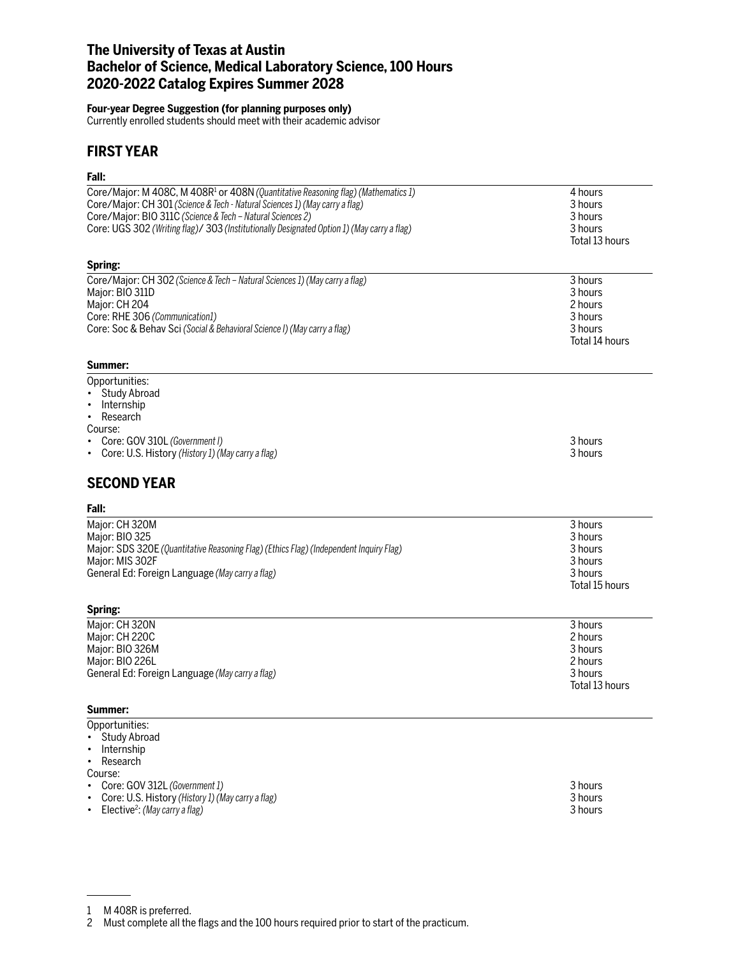## **The University of Texas at Austin Bachelor of Science, Medical Laboratory Science, 100 Hours 2020-2022 Catalog Expires Summer 2028**

#### **Four-year Degree Suggestion (for planning purposes only)**

Currently enrolled students should meet with their academic advisor

## **FIRST YEAR**

### **Fall:**

| Core/Major: M 408C, M 408R <sup>1</sup> or 408N (Quantitative Reasoning flag) (Mathematics 1) | 4 hours        |
|-----------------------------------------------------------------------------------------------|----------------|
| Core/Major: CH 301 (Science & Tech - Natural Sciences 1) (May carry a flag)                   | 3 hours        |
| Core/Major: BIO 311C (Science & Tech - Natural Sciences 2)                                    | 3 hours        |
| Core: UGS 302 (Writing flag)/ 303 (Institutionally Designated Option 1) (May carry a flag)    | 3 hours        |
|                                                                                               |                |
|                                                                                               | Total 13 hours |
| Spring:                                                                                       |                |
| Core/Major: CH 302 (Science & Tech - Natural Sciences 1) (May carry a flag)                   | 3 hours        |
| Major: BIO 311D                                                                               | 3 hours        |
| Major: CH 204                                                                                 | 2 hours        |
| Core: RHE 306 (Communication1)                                                                | 3 hours        |
| Core: Soc & Behav Sci (Social & Behavioral Science I) (May carry a flag)                      | 3 hours        |
|                                                                                               | Total 14 hours |
|                                                                                               |                |
| Summer:                                                                                       |                |
| Opportunities:                                                                                |                |
| Study Abroad<br>$\bullet$                                                                     |                |
| Internship<br>٠                                                                               |                |
| Research<br>٠                                                                                 |                |
| Course:                                                                                       |                |
| Core: GOV 310L (Government I)                                                                 | 3 hours        |
| Core: U.S. History (History 1) (May carry a flag)<br>٠                                        | 3 hours        |
|                                                                                               |                |
| <b>SECOND YEAR</b>                                                                            |                |
| Fall:                                                                                         |                |
| Major: CH 320M                                                                                | 3 hours        |
| Major: BIO 325                                                                                | 3 hours        |
| Major: SDS 320E (Quantitative Reasoning Flag) (Ethics Flag) (Independent Inquiry Flag)        | 3 hours        |
| Major: MIS 302F                                                                               | 3 hours        |
| General Ed: Foreign Language (May carry a flag)                                               | 3 hours        |
|                                                                                               | Total 15 hours |
|                                                                                               |                |
| Spring:                                                                                       |                |
| Major: CH 320N                                                                                | 3 hours        |
| Major: CH 220C                                                                                | 2 hours        |
| Major: BIO 326M                                                                               | 3 hours        |
| Major: BIO 226L                                                                               | 2 hours        |
| General Ed: Foreign Language (May carry a flag)                                               | 3 hours        |
|                                                                                               | Total 13 hours |
|                                                                                               |                |
| Summer:                                                                                       |                |
| Opportunities:                                                                                |                |
| <b>Study Abroad</b>                                                                           |                |
| Internship                                                                                    |                |

• Research Course:

| <b>000000</b> |                                                     |         |
|---------------|-----------------------------------------------------|---------|
|               | • Core: GOV 312L (Government 1)                     | 3 hours |
|               | • Core: U.S. History (History 1) (May carry a flag) | 3 hours |
|               | • Elective <sup>2</sup> : (May carry a flag)        | 3 hours |

<sup>1</sup> M 408R is preferred.

<sup>2</sup> Must complete all the flags and the 100 hours required prior to start of the practicum.